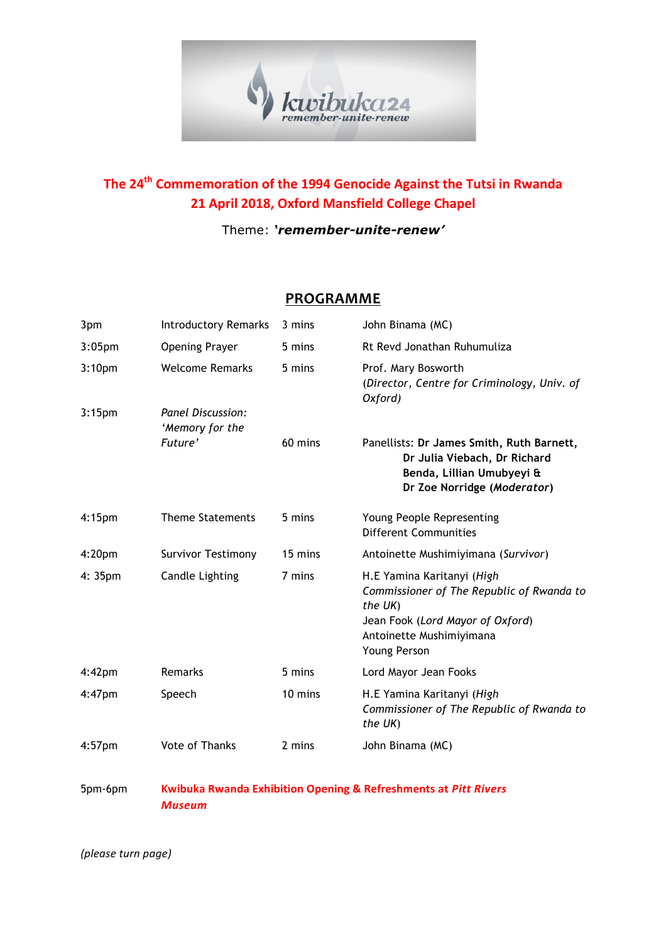

## **The 24<sup>th</sup> Commemoration of the 1994 Genocide Against the Tutsi in Rwanda 21 April 2018, Oxford Mansfield College Chapel**

## Theme: *'remember-unite-renew'*

## **PROGRAMME**

| 3pm                | <b>Introductory Remarks</b>                                                | 3 mins  | John Binama (MC)                                                                                                                                                   |
|--------------------|----------------------------------------------------------------------------|---------|--------------------------------------------------------------------------------------------------------------------------------------------------------------------|
| 3:05 <sub>pm</sub> | <b>Opening Prayer</b>                                                      | 5 mins  | Rt Revd Jonathan Ruhumuliza                                                                                                                                        |
| 3:10 <sub>pm</sub> | <b>Welcome Remarks</b>                                                     | 5 mins  | Prof. Mary Bosworth<br>(Director, Centre for Criminology, Univ. of<br>Oxford)                                                                                      |
| 3:15 <sub>pm</sub> | Panel Discussion:<br>'Memory for the                                       |         |                                                                                                                                                                    |
|                    | Future'                                                                    | 60 mins | Panellists: Dr James Smith, Ruth Barnett,<br>Dr Julia Viebach, Dr Richard<br>Benda, Lillian Umubyeyi &<br>Dr Zoe Norridge (Moderator)                              |
| 4:15 <sub>pm</sub> | <b>Theme Statements</b>                                                    | 5 mins  | Young People Representing<br><b>Different Communities</b>                                                                                                          |
| 4:20 <sub>pm</sub> | <b>Survivor Testimony</b>                                                  | 15 mins | Antoinette Mushimiyimana (Survivor)                                                                                                                                |
| 4: 35pm            | <b>Candle Lighting</b>                                                     | 7 mins  | H.E Yamina Karitanyi (High<br>Commissioner of The Republic of Rwanda to<br>the UK)<br>Jean Fook (Lord Mayor of Oxford)<br>Antoinette Mushimiyimana<br>Young Person |
| $4:42$ pm          | Remarks                                                                    | 5 mins  | Lord Mayor Jean Fooks                                                                                                                                              |
| $4:47$ pm          | Speech                                                                     | 10 mins | H.E Yamina Karitanyi (High<br>Commissioner of The Republic of Rwanda to<br>the UK)                                                                                 |
| $4:57$ pm          | <b>Vote of Thanks</b>                                                      | 2 mins  | John Binama (MC)                                                                                                                                                   |
| 5pm-6pm            | <b>Kwibuka Rwanda Exhibition Opening &amp; Refreshments at Pitt Rivers</b> |         |                                                                                                                                                                    |

*Museum*

*(please turn page)*